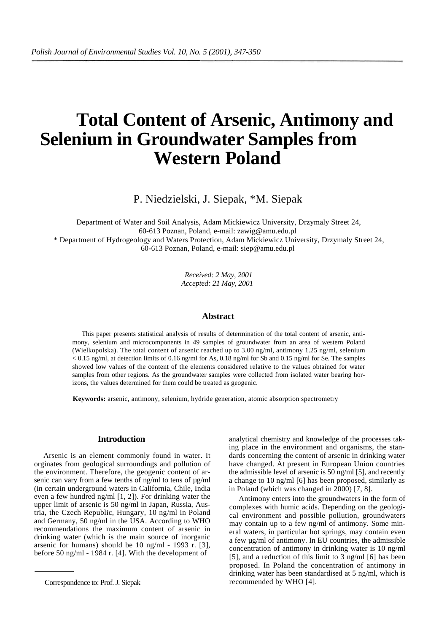# **Total Content of Arsenic, Antimony and Selenium in Groundwater Samples from Western Poland**

P. Niedzielski, J. Siepak, \*M. Siepak

Department of Water and Soil Analysis, Adam Mickiewicz University, Drzymaly Street 24, 60-613 Poznan, Poland, e-mail: zawig@amu.edu.pl

\* Department of Hydrogeology and Waters Protection, Adam Mickiewicz University, Drzymaly Street 24, 60-613 Poznan, Poland, e-mail: siep@amu.edu.pl

> *Received: 2 May, 2001 Accepted: 21 May, 2001*

#### **Abstract**

This paper presents statistical analysis of results of determination of the total content of arsenic, antimony, selenium and microcomponents in 49 samples of groundwater from an area of western Poland (Wielkopolska). The total content of arsenic reached up to 3.00 ng/ml, antimony 1.25 ng/ml, selenium  $< 0.15$  ng/ml, at detection limits of 0.16 ng/ml for As, 0.18 ng/ml for Sb and 0.15 ng/ml for Se. The samples showed low values of the content of the elements considered relative to the values obtained for water samples from other regions. As the groundwater samples were collected from isolated water bearing horizons, the values determined for them could be treated as geogenic.

**Keywords:** arsenic, antimony, selenium, hydride generation, atomic absorption spectrometry

# **Introduction**

Arsenic is an element commonly found in water. It orginates from geological surroundings and pollution of the environment. Therefore, the geogenic content of arsenic can vary from a few tenths of ng/ml to tens of  $\mu$ g/ml (in certain underground waters in California, Chile, India even a few hundred ng/ml [1, 2]). For drinking water the upper limit of arsenic is 50 ng/ml in Japan, Russia, Austria, the Czech Republic, Hungary, 10 ng/ml in Poland and Germany, 50 ng/ml in the USA. According to WHO recommendations the maximum content of arsenic in drinking water (which is the main source of inorganic arsenic for humans) should be 10 ng/ml - 1993 r. [3], before 50 ng/ml - 1984 r. [4]. With the development of

analytical chemistry and knowledge of the processes taking place in the environment and organisms, the standards concerning the content of arsenic in drinking water have changed. At present in European Union countries the admissible level of arsenic is 50 ng/ml [5], and recently a change to 10 ng/ml [6] has been proposed, similarly as in Poland (which was changed in 2000) [7, 8].

Antimony enters into the groundwaters in the form of complexes with humic acids. Depending on the geological environment and possible pollution, groundwaters may contain up to a few ng/ml of antimony. Some mineral waters, in particular hot springs, may contain even a few µg/ml of antimony. In EU countries, the admissible concentration of antimony in drinking water is 10 ng/ml [5], and a reduction of this limit to 3 ng/ml [6] has been proposed. In Poland the concentration of antimony in drinking water has been standardised at 5 ng/ml, which is recommended by WHO [4].

Correspondence to: Prof. J. Siepak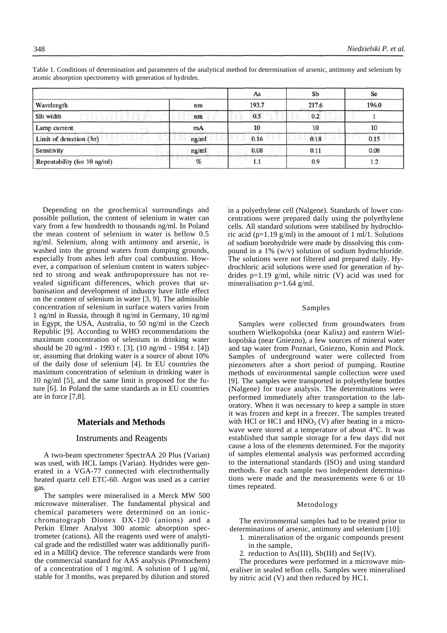|                                |       | As    | Sb    | Se    |
|--------------------------------|-------|-------|-------|-------|
| Wavelength                     | nm    | 193.7 | 217.6 | 196.0 |
| Slit width                     | nm    | 0.5   | 0.2   |       |
| Lamp current                   | mA    | 10    | 10    | 10    |
| Limit of detection $(3\sigma)$ | ng/ml | 0.16  | 0.18  | 0.15  |
| Sensitivity                    | ng/ml | 0.08  | 0.11  | 0.08  |
| Repeatability (for 10 ng/ml)   | $\%$  | 1.1   | 0.9   |       |

Table 1. Conditions of determination and parameters of the analytical method for determination of arsenic, antimony and selenium by atomic absorption spectrometry with generation of hydrides.

Depending on the geochemical surroundings and possible pollution, the content of selenium in water can vary from a few hundredth to thousands ng/ml. In Poland the mean content of selenium in water is bellow 0.5 ng/ml. Selenium, along with antimony and arsenic, is washed into the ground waters from dumping grounds, especially from ashes left after coal combustion. However, a comparison of selenium content in waters subjected to strong and weak anthropopressure has not revealed significant differences, which proves that urbanisation and development of industry have little effect on the content of selenium in water [3, 9]. The admissible concentration of selenium in surface waters varies from 1 ng/ml in Russia, through 8 ng/ml in Germany, 10 ng/ml in Egypt, the USA, Australia, to 50 ng/ml in the Czech Republic [9]. According to WHO recommendations the maximum concentration of selenium in drinking water should be 20 ng/ml - 1993 r. [3], (10 ng/ml - 1984 r. [4]) or, assuming that drinking water is a source of about 10% of the daily dose of selenium [4]. In EU countries the maximum concentration of selenium in drinking water is 10 ng/ml [5], and the same limit is proposed for the future [6]. In Poland the same standards as in EU countries are in force [7,8].

## **Materials and Methods**

### Instruments and Reagents

A two-beam spectrometer SpectrAA 20 Plus (Varian) was used, with HCL lamps (Varian). Hydrides were generated in a VGA-77 connected with electrothermally heated quartz cell ETC-60. Argon was used as a carrier gas.

The samples were mineralised in a Merck MW 500 microwave mineraliser. The fundamental physical and chemical parameters were determined on an ionicchromatograph Dionex DX-120 (anions) and a Perkin Elmer Analyst 300 atomic absorption spectrometer (cations). All the reagents used were of analytical grade and the redistilled water was additionally purified in a MilliQ device. The reference standards were from the commercial standard for AAS analysis (Promochem) of a concentration of 1 mg/ml. A solution of 1  $\mu$ g/ml, stable for 3 months, was prepared by dilution and stored

in a polyethylene cell (Nalgene). Standards of lower concentrations were prepared daily using the polyethylene cells. All standard solutions were stabilised by hydrochloric acid (p=1.19 g/ml) in the amount of 1 ml/1. Solutions of sodium borohydride were made by dissolving this compound in a 1% (w/v) solution of sodium hydrochloride. The solutions were not filtered and prepared daily. Hydrochloric acid solutions were used for generation of hydrides  $p=1.19$  g/ml, while nitric (V) acid was used for mineralisation  $p=1.64$  g/ml.

#### Samples

Samples were collected from groundwaters from southern Wielkopolska (near Kalisz) and eastern Wielkopolska (near Gniezno), a few sources of mineral water and tap water from Poznari, Gniezno, Konin and Plock. Samples of underground water were collected from piezometers after a short period of pumping. Routine methods of environmental sample collection were used [9]. The samples were transported in polyethylene bottles (Nalgene) for trace analysis. The determinations were performed immediately after transportation to the laboratory. When it was necessary to keep a sample in store it was frozen and kept in a freezer. The samples treated with HCl or HC1 and  $HNO<sub>3</sub>$  (V) after heating in a microwave were stored at a temperature of about 4°C. It was established that sample storage for a few days did not cause a loss of the elements determined. For the majority of samples elemental analysis was performed according to the international standards (ISO) and using standard methods. For each sample two independent determinations were made and the measurements were 6 or 10 times repeated.

### Metodology

The environmental samples had to be treated prior to determinations of arsenic, antimony and selenium [10]:

- 1. mineralisation of the organic compounds present in the sample,
- 2. reduction to As(III), Sb(III) and Se(IV).

The procedures were performed in a microwave mineraliser in sealed teflon cells. Samples were mineralised by nitric acid (V) and then reduced by HC1.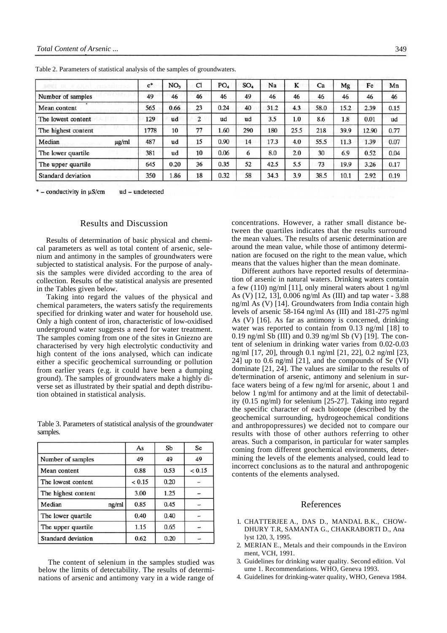|                           | $c^*$ | NO <sub>3</sub> | Cl | PO <sub>4</sub> | SO <sub>4</sub> | Na   | K    | Ca   | Mg   | Fe    | Mn   |
|---------------------------|-------|-----------------|----|-----------------|-----------------|------|------|------|------|-------|------|
| Number of samples         | 49    | 46              | 46 | 46              | 49              | 46   | 46   | 46   | 46   | 46    | 46   |
| Mean content              | 565   | 0.66            | 23 | 0.24            | 40              | 31.2 | 4.3  | 58.0 | 15.2 | 2.39  | 0.15 |
| The lowest content        | 129   | ud              | 2  | ud              | ud              | 3.5  | 1.0  | 8.6  | 1.8  | 0.01  | ud   |
| The highest content       | 1778  | 10              | 77 | l.60            | 290             | 180  | 25.5 | 218  | 39.9 | 12.90 | 0.77 |
| Median<br>µg/ml           | 487   | ud              | 15 | 0.90            | 14              | 17.3 | 4.0  | 55.5 | 11.3 | 1.39  | 0.07 |
| The lower quartile        | 381   | ud              | 10 | 0.06            | 6               | 8.0  | 2.0  | 30   | 6.9  | 0.52  | 0.04 |
| The upper quartile        | 645   | 0.20            | 36 | 0.35            | 52              | 42.5 | 5.5  | 73   | 19.9 | 3.26  | 0.17 |
| <b>Standard deviation</b> | 350   | 1.86            | 18 | 0.32            | 58              | 34.3 | 3.9  | 38.5 | 10.1 | 2.92  | 0.19 |

Table 2. Parameters of statistical analysis of the samples of groundwaters.

\* - conductivity in  $\mu$ S/cm ud - undetected

## Results and Discussion

Results of determination of basic physical and chemical parameters as well as total content of arsenic, selenium and antimony in the samples of groundwaters were subjected to statistical analysis. For the purpose of analysis the samples were divided according to the area of collection. Results of the statistical analysis are presented in the Tables given below.

Taking into regard the values of the physical and chemical parameters, the waters satisfy the requirements specified for drinking water and water for household use. Only a high content of iron, characteristic of low-oxidised underground water suggests a need for water treatment. The samples coming from one of the sites in Gniezno are characterised by very high electrolytic conductivity and high content of the ions analysed, which can indicate either a specific geochemical surrounding or pollution from earlier years (e.g. it could have been a dumping ground). The samples of groundwaters make a highly diverse set as illustrated by their spatial and depth distribution obtained in statistical analysis.

Table 3. Parameters of statistical analysis of the groundwater samples.

|                     | As     | Sb   | Se     |
|---------------------|--------|------|--------|
| Number of samples   | 49     | 49   | 49     |
| Mean content        | 0.88   | 0.53 | < 0.15 |
| The lowest content  | < 0.15 | 0.20 |        |
| The highest content | 3.00   | 1.25 |        |
| Median<br>ng/ml     | 0.85   | 0.45 |        |
| The lower quartile  | 0.40   | 0.40 |        |
| The upper quartile  | 1.15   | 0.65 |        |
| Standard deviation  | 0.62   | 0.20 |        |

The content of selenium in the samples studied was below the limits of detectability. The results of determinations of arsenic and antimony vary in a wide range of

concentrations. However, a rather small distance between the quartiles indicates that the results surround the mean values. The results of arsenic determination are around the mean value, while those of antimony determination are focused on the right to the mean value, which means that the values higher than the mean dominate.

Different authors have reported results of determination of arsenic in natural waters. Drinking waters contain a few (110) ng/ml [11], only mineral waters about 1 ng/ml As (V) [12, 13], 0.006 ng/ml As (III) and tap water - 3.88 ng/ml As (V) [14]. Groundwaters from India contain high levels of arsenic 58-164 ng/ml As (III) and 181-275 ng/ml As (V) [16]. As far as antimony is concerned, drinking water was reported to contain from 0.13 ng/ml [18] to 0.19 ng/ml Sb (III) and 0.39 ng/ml Sb (V) [19]. The content of selenium in drinking water varies from 0.02-0.03 ng/ml [17, 20], through 0.1 ng/ml [21, 22], 0.2 ng/ml [23, 24] up to 0.6 ng/ml [21], and the compounds of Se (VI) dominate [21, 24]. The values are similar to the results of de'termination of arsenic, antimony and selenium in surface waters being of a few ng/ml for arsenic, about 1 and below 1 ng/ml for antimony and at the limit of detectability (0.15 ng/ml) for selenium [25-27]. Taking into regard the specific character of each biotope (described by the geochemical surrounding, hydrogeochemical conditions and anthropopressures) we decided not to compare our results with those of other authors referring to other areas. Such a comparison, in particular for water samples coming from different geochemical environments, determining the levels of the elements analysed, could lead to incorrect conclusions as to the natural and anthropogenic contents of the elements analysed.

#### References

- 1. CHATTERJEE A., DAS D., MANDAL B.K., CHOW-DHURY T.R, SAMANTA G., CHAKRABORTI D., Ana lyst 120, 3, 1995.
- 2. MERIAN E., Metals and their compounds in the Environ ment, VCH, 1991.
- 3. Guidelines for drinking water quality. Second edition. Vol ume 1. Recommendations. WHO, Geneva 1993.
- 4. Guidelines for drinking-water quality, WHO, Geneva 1984.